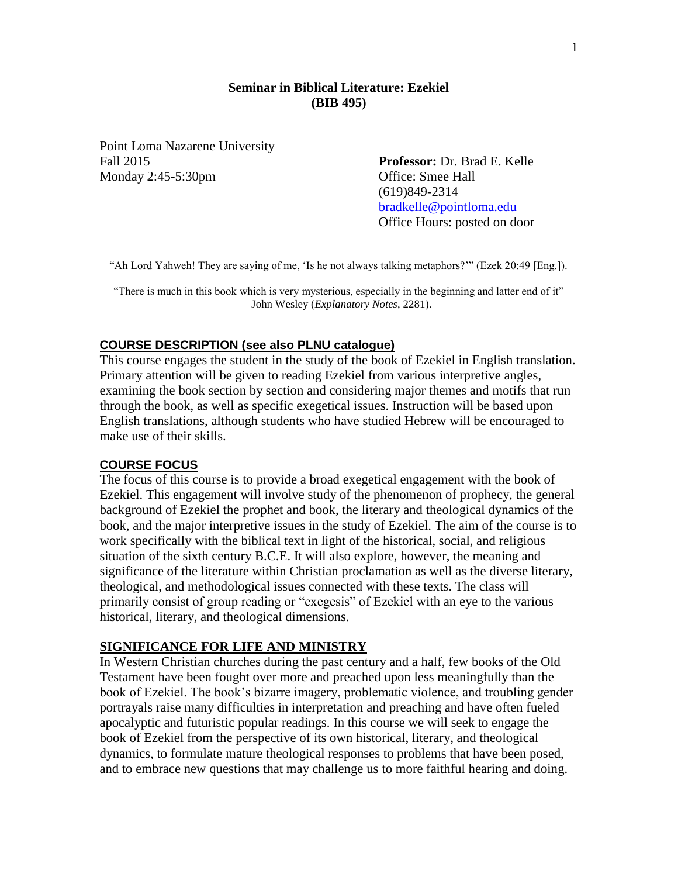## **Seminar in Biblical Literature: Ezekiel (BIB 495)**

Point Loma Nazarene University Fall 2015 **Professor:** Dr. Brad E. Kelle Monday 2:45-5:30pm Office: Smee Hall

(619)849-2314 [bradkelle@pointloma.edu](mailto:bradkelle@pointloma.edu) Office Hours: posted on door

"Ah Lord Yahweh! They are saying of me, 'Is he not always talking metaphors?'" (Ezek 20:49 [Eng.]).

"There is much in this book which is very mysterious, especially in the beginning and latter end of it" –John Wesley (*Explanatory Notes*, 2281).

#### **COURSE DESCRIPTION (see also PLNU catalogue)**

This course engages the student in the study of the book of Ezekiel in English translation. Primary attention will be given to reading Ezekiel from various interpretive angles, examining the book section by section and considering major themes and motifs that run through the book, as well as specific exegetical issues. Instruction will be based upon English translations, although students who have studied Hebrew will be encouraged to make use of their skills.

## **COURSE FOCUS**

The focus of this course is to provide a broad exegetical engagement with the book of Ezekiel. This engagement will involve study of the phenomenon of prophecy, the general background of Ezekiel the prophet and book, the literary and theological dynamics of the book, and the major interpretive issues in the study of Ezekiel. The aim of the course is to work specifically with the biblical text in light of the historical, social, and religious situation of the sixth century B.C.E. It will also explore, however, the meaning and significance of the literature within Christian proclamation as well as the diverse literary, theological, and methodological issues connected with these texts. The class will primarily consist of group reading or "exegesis" of Ezekiel with an eye to the various historical, literary, and theological dimensions.

## **SIGNIFICANCE FOR LIFE AND MINISTRY**

In Western Christian churches during the past century and a half, few books of the Old Testament have been fought over more and preached upon less meaningfully than the book of Ezekiel. The book's bizarre imagery, problematic violence, and troubling gender portrayals raise many difficulties in interpretation and preaching and have often fueled apocalyptic and futuristic popular readings. In this course we will seek to engage the book of Ezekiel from the perspective of its own historical, literary, and theological dynamics, to formulate mature theological responses to problems that have been posed, and to embrace new questions that may challenge us to more faithful hearing and doing.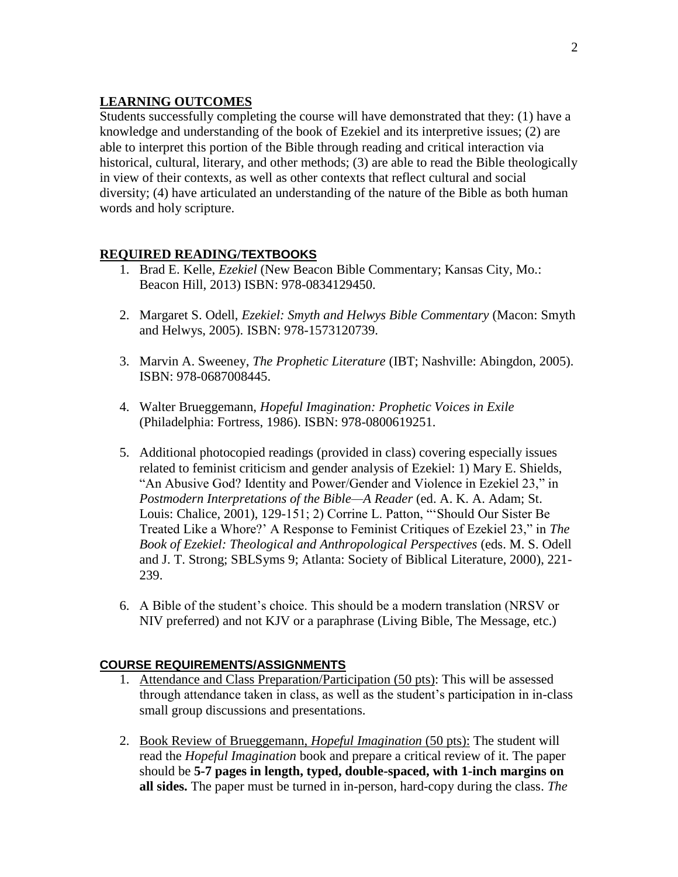# **LEARNING OUTCOMES**

Students successfully completing the course will have demonstrated that they: (1) have a knowledge and understanding of the book of Ezekiel and its interpretive issues; (2) are able to interpret this portion of the Bible through reading and critical interaction via historical, cultural, literary, and other methods; (3) are able to read the Bible theologically in view of their contexts, as well as other contexts that reflect cultural and social diversity; (4) have articulated an understanding of the nature of the Bible as both human words and holy scripture.

# **REQUIRED READING/TEXTBOOKS**

- 1. Brad E. Kelle, *Ezekiel* (New Beacon Bible Commentary; Kansas City, Mo.: Beacon Hill, 2013) ISBN: 978-0834129450.
- 2. Margaret S. Odell, *Ezekiel: Smyth and Helwys Bible Commentary* (Macon: Smyth and Helwys, 2005). ISBN: 978-1573120739.
- 3. Marvin A. Sweeney, *The Prophetic Literature* (IBT; Nashville: Abingdon, 2005). ISBN: 978-0687008445.
- 4. Walter Brueggemann, *Hopeful Imagination: Prophetic Voices in Exile*  (Philadelphia: Fortress, 1986). ISBN: 978-0800619251.
- 5. Additional photocopied readings (provided in class) covering especially issues related to feminist criticism and gender analysis of Ezekiel: 1) Mary E. Shields, "An Abusive God? Identity and Power/Gender and Violence in Ezekiel 23," in *Postmodern Interpretations of the Bible—A Reader* (ed. A. K. A. Adam; St. Louis: Chalice, 2001), 129-151; 2) Corrine L. Patton, "'Should Our Sister Be Treated Like a Whore?' A Response to Feminist Critiques of Ezekiel 23," in *The Book of Ezekiel: Theological and Anthropological Perspectives* (eds. M. S. Odell and J. T. Strong; SBLSyms 9; Atlanta: Society of Biblical Literature, 2000), 221- 239.
- 6. A Bible of the student's choice. This should be a modern translation (NRSV or NIV preferred) and not KJV or a paraphrase (Living Bible, The Message, etc.)

# **COURSE REQUIREMENTS/ASSIGNMENTS**

- 1. Attendance and Class Preparation/Participation (50 pts): This will be assessed through attendance taken in class, as well as the student's participation in in-class small group discussions and presentations.
- 2. Book Review of Brueggemann, *Hopeful Imagination* (50 pts): The student will read the *Hopeful Imagination* book and prepare a critical review of it. The paper should be **5-7 pages in length, typed, double-spaced, with 1-inch margins on all sides.** The paper must be turned in in-person, hard-copy during the class. *The*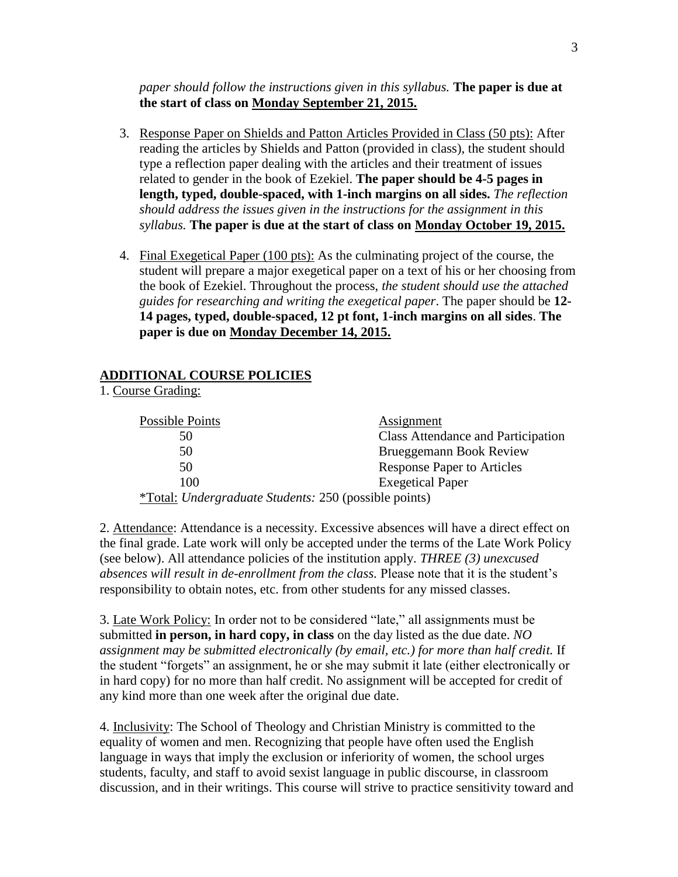*paper should follow the instructions given in this syllabus.* **The paper is due at the start of class on Monday September 21, 2015.**

- 3. Response Paper on Shields and Patton Articles Provided in Class (50 pts): After reading the articles by Shields and Patton (provided in class), the student should type a reflection paper dealing with the articles and their treatment of issues related to gender in the book of Ezekiel. **The paper should be 4-5 pages in length, typed, double-spaced, with 1-inch margins on all sides.** *The reflection should address the issues given in the instructions for the assignment in this syllabus.* **The paper is due at the start of class on Monday October 19, 2015.**
- 4. Final Exegetical Paper (100 pts): As the culminating project of the course, the student will prepare a major exegetical paper on a text of his or her choosing from the book of Ezekiel. Throughout the process, *the student should use the attached guides for researching and writing the exegetical paper*. The paper should be **12- 14 pages, typed, double-spaced, 12 pt font, 1-inch margins on all sides**. **The paper is due on Monday December 14, 2015.**

## **ADDITIONAL COURSE POLICIES**

1. Course Grading:

| Possible Points                                              | Assignment                                |
|--------------------------------------------------------------|-------------------------------------------|
| 50                                                           | <b>Class Attendance and Participation</b> |
| 50                                                           | Brueggemann Book Review                   |
| 50                                                           | <b>Response Paper to Articles</b>         |
| 100                                                          | <b>Exegetical Paper</b>                   |
| <i>*Total: Undergraduate Students: 250 (possible points)</i> |                                           |

2. Attendance: Attendance is a necessity. Excessive absences will have a direct effect on the final grade. Late work will only be accepted under the terms of the Late Work Policy (see below). All attendance policies of the institution apply. *THREE (3) unexcused absences will result in de-enrollment from the class.* Please note that it is the student's responsibility to obtain notes, etc. from other students for any missed classes.

3. Late Work Policy: In order not to be considered "late," all assignments must be submitted **in person, in hard copy, in class** on the day listed as the due date. *NO assignment may be submitted electronically (by email, etc.) for more than half credit.* If the student "forgets" an assignment, he or she may submit it late (either electronically or in hard copy) for no more than half credit. No assignment will be accepted for credit of any kind more than one week after the original due date.

4. Inclusivity: The School of Theology and Christian Ministry is committed to the equality of women and men. Recognizing that people have often used the English language in ways that imply the exclusion or inferiority of women, the school urges students, faculty, and staff to avoid sexist language in public discourse, in classroom discussion, and in their writings. This course will strive to practice sensitivity toward and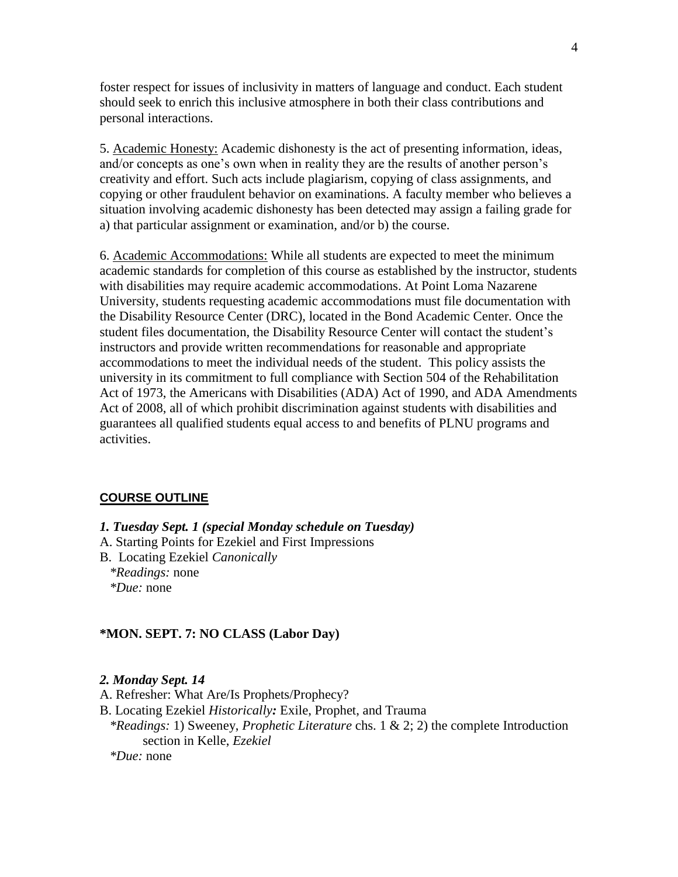foster respect for issues of inclusivity in matters of language and conduct. Each student should seek to enrich this inclusive atmosphere in both their class contributions and personal interactions.

5. Academic Honesty: Academic dishonesty is the act of presenting information, ideas, and/or concepts as one's own when in reality they are the results of another person's creativity and effort. Such acts include plagiarism, copying of class assignments, and copying or other fraudulent behavior on examinations. A faculty member who believes a situation involving academic dishonesty has been detected may assign a failing grade for a) that particular assignment or examination, and/or b) the course.

6. Academic Accommodations: While all students are expected to meet the minimum academic standards for completion of this course as established by the instructor, students with disabilities may require academic accommodations. At Point Loma Nazarene University, students requesting academic accommodations must file documentation with the Disability Resource Center (DRC), located in the Bond Academic Center. Once the student files documentation, the Disability Resource Center will contact the student's instructors and provide written recommendations for reasonable and appropriate accommodations to meet the individual needs of the student. This policy assists the university in its commitment to full compliance with Section 504 of the Rehabilitation Act of 1973, the Americans with Disabilities (ADA) Act of 1990, and ADA Amendments Act of 2008, all of which prohibit discrimination against students with disabilities and guarantees all qualified students equal access to and benefits of PLNU programs and activities.

## **COURSE OUTLINE**

- *1. Tuesday Sept. 1 (special Monday schedule on Tuesday)*
- A. Starting Points for Ezekiel and First Impressions
- B. Locating Ezekiel *Canonically \*Readings:* none *\*Due:* none

#### **\*MON. SEPT. 7: NO CLASS (Labor Day)**

#### *2. Monday Sept. 14*

- A. Refresher: What Are/Is Prophets/Prophecy?
- B. Locating Ezekiel *Historically:* Exile, Prophet, and Trauma
- *\*Readings:* 1) Sweeney, *Prophetic Literature* chs. 1 & 2; 2) the complete Introduction section in Kelle, *Ezekiel*
- *\*Due:* none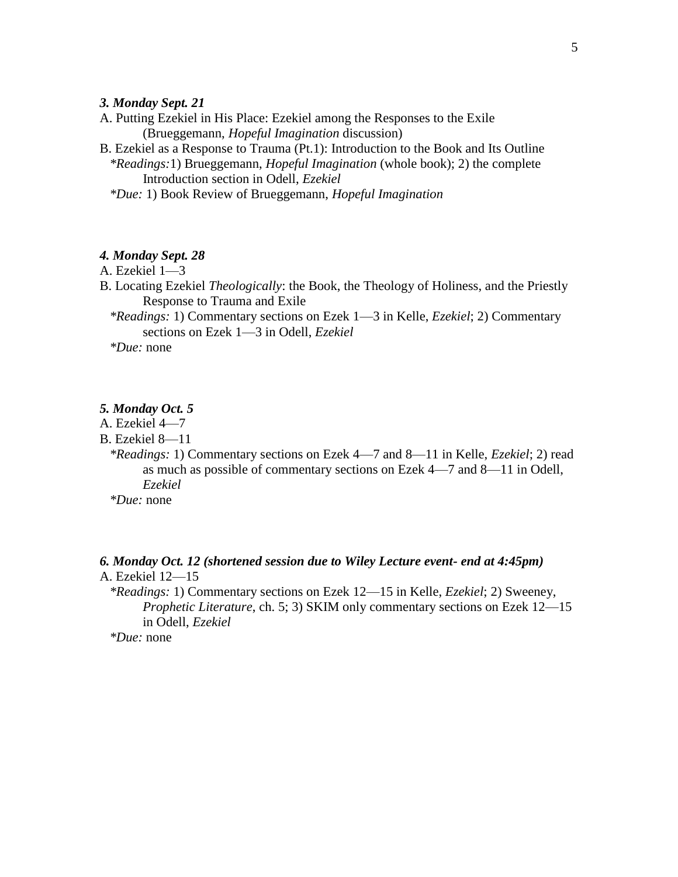### *3. Monday Sept. 21*

- A. Putting Ezekiel in His Place: Ezekiel among the Responses to the Exile (Brueggemann, *Hopeful Imagination* discussion)
- B. Ezekiel as a Response to Trauma (Pt.1): Introduction to the Book and Its Outline  *\*Readings:*1) Brueggemann, *Hopeful Imagination* (whole book); 2) the complete Introduction section in Odell, *Ezekiel*
	- *\*Due:* 1) Book Review of Brueggemann, *Hopeful Imagination*

## *4. Monday Sept. 28*

- A. Ezekiel 1—3
- B. Locating Ezekiel *Theologically*: the Book, the Theology of Holiness, and the Priestly Response to Trauma and Exile
	- *\*Readings:* 1) Commentary sections on Ezek 1—3 in Kelle, *Ezekiel*; 2) Commentary sections on Ezek 1—3 in Odell, *Ezekiel*

*\*Due:* none

## *5. Monday Oct. 5*

- A. Ezekiel 4—7
- B. Ezekiel 8—11
	- *\*Readings:* 1) Commentary sections on Ezek 4—7 and 8—11 in Kelle, *Ezekiel*; 2) read as much as possible of commentary sections on Ezek 4—7 and 8—11 in Odell, *Ezekiel*
	- *\*Due:* none

### *6. Monday Oct. 12 (shortened session due to Wiley Lecture event- end at 4:45pm)* A. Ezekiel 12—15

 *\*Readings:* 1) Commentary sections on Ezek 12—15 in Kelle, *Ezekiel*; 2) Sweeney, *Prophetic Literature*, ch. 5; 3) SKIM only commentary sections on Ezek 12–15 in Odell, *Ezekiel*

*\*Due:* none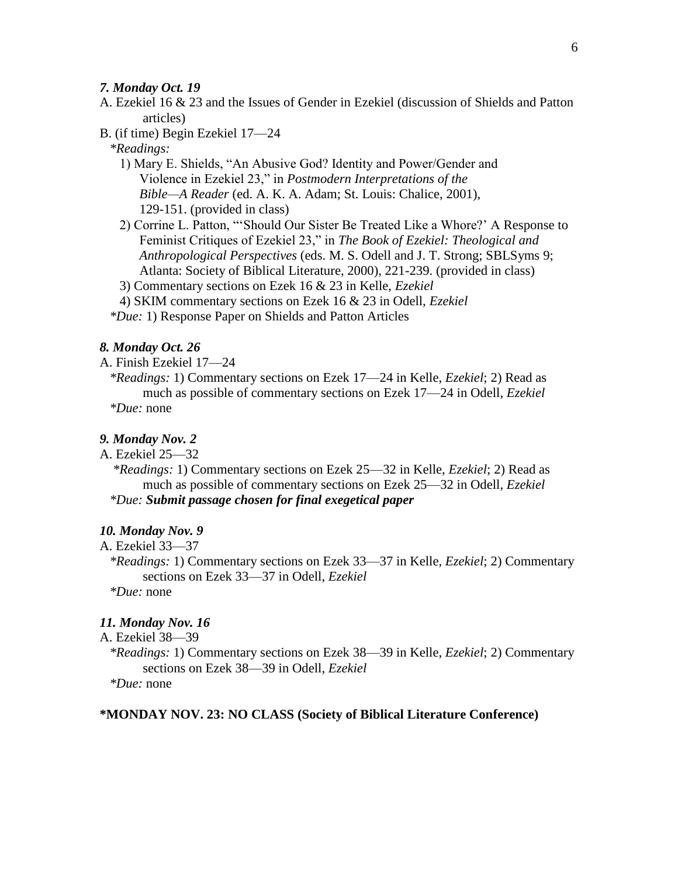## *7. Monday Oct. 19*

- A. Ezekiel 16 & 23 and the Issues of Gender in Ezekiel (discussion of Shields and Patton articles)
- B. (if time) Begin Ezekiel 17—24

 *\*Readings:*

- 1) Mary E. Shields, "An Abusive God? Identity and Power/Gender and Violence in Ezekiel 23," in *Postmodern Interpretations of the Bible—A Reader* (ed. A. K. A. Adam; St. Louis: Chalice, 2001), 129-151. (provided in class)
- 2) Corrine L. Patton, "'Should Our Sister Be Treated Like a Whore?' A Response to Feminist Critiques of Ezekiel 23," in *The Book of Ezekiel: Theological and Anthropological Perspectives* (eds. M. S. Odell and J. T. Strong; SBLSyms 9; Atlanta: Society of Biblical Literature, 2000), 221-239. (provided in class)
- 3) Commentary sections on Ezek 16 & 23 in Kelle, *Ezekiel*
- 4) SKIM commentary sections on Ezek 16 & 23 in Odell, *Ezekiel*
- *\*Due:* 1) Response Paper on Shields and Patton Articles

### *8. Monday Oct. 26*

A. Finish Ezekiel 17—24

 *\*Readings:* 1) Commentary sections on Ezek 17—24 in Kelle, *Ezekiel*; 2) Read as much as possible of commentary sections on Ezek 17—24 in Odell, *Ezekiel \*Due:* none

## *9. Monday Nov. 2*

A. Ezekiel 25—32

 *\*Readings:* 1) Commentary sections on Ezek 25—32 in Kelle, *Ezekiel*; 2) Read as much as possible of commentary sections on Ezek 25—32 in Odell, *Ezekiel \*Due: Submit passage chosen for final exegetical paper*

## *10. Monday Nov. 9*

## A. Ezekiel 33—37

 *\*Readings:* 1) Commentary sections on Ezek 33—37 in Kelle, *Ezekiel*; 2) Commentary sections on Ezek 33—37 in Odell, *Ezekiel*

*\*Due:* none

## *11. Monday Nov. 16*

A. Ezekiel 38—39

 *\*Readings:* 1) Commentary sections on Ezek 38—39 in Kelle, *Ezekiel*; 2) Commentary sections on Ezek 38—39 in Odell, *Ezekiel*

*\*Due:* none

## **\*MONDAY NOV. 23: NO CLASS (Society of Biblical Literature Conference)**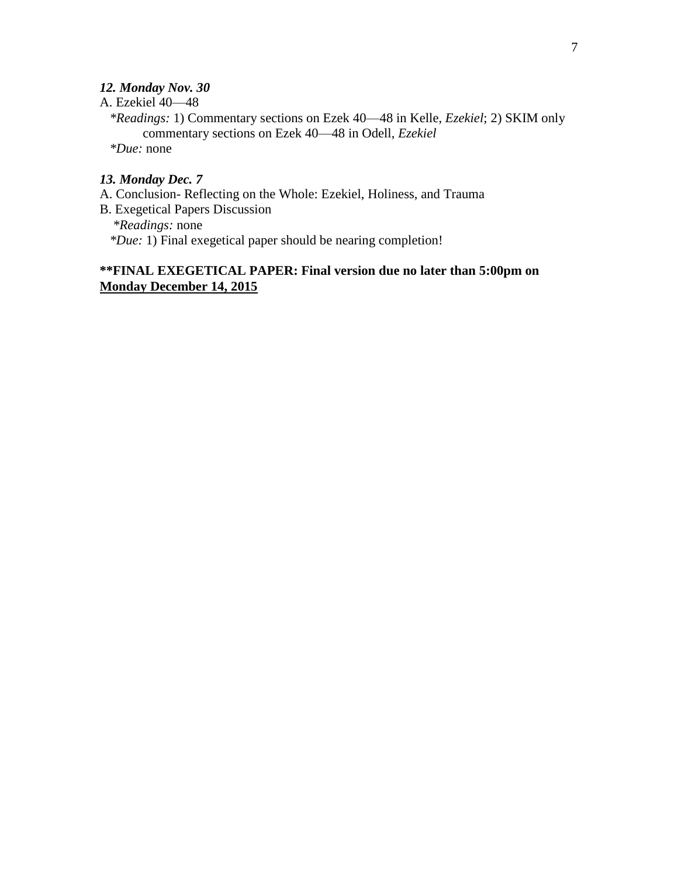# *12. Monday Nov. 30*

A. Ezekiel 40—48

 *\*Readings:* 1) Commentary sections on Ezek 40—48 in Kelle, *Ezekiel*; 2) SKIM only commentary sections on Ezek 40—48 in Odell, *Ezekiel \*Due:* none

# *13. Monday Dec. 7*

- A. Conclusion- Reflecting on the Whole: Ezekiel, Holiness, and Trauma
- B. Exegetical Papers Discussion  *\*Readings:* none

*\*Due:* 1) Final exegetical paper should be nearing completion!

# **\*\*FINAL EXEGETICAL PAPER: Final version due no later than 5:00pm on Monday December 14, 2015**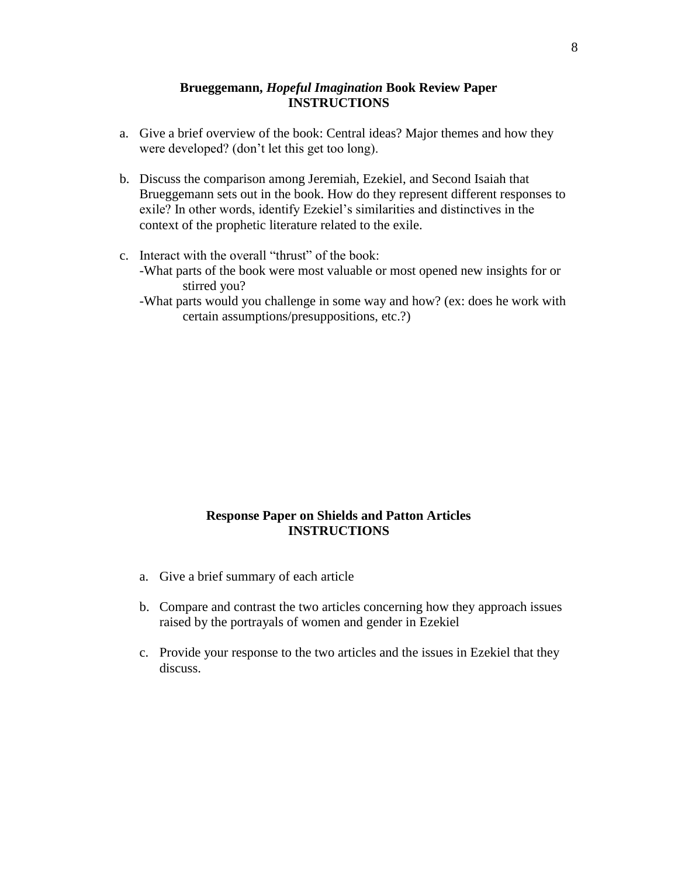## **Brueggemann,** *Hopeful Imagination* **Book Review Paper INSTRUCTIONS**

- a. Give a brief overview of the book: Central ideas? Major themes and how they were developed? (don't let this get too long).
- b. Discuss the comparison among Jeremiah, Ezekiel, and Second Isaiah that Brueggemann sets out in the book. How do they represent different responses to exile? In other words, identify Ezekiel's similarities and distinctives in the context of the prophetic literature related to the exile.
- c. Interact with the overall "thrust" of the book: -What parts of the book were most valuable or most opened new insights for or stirred you?
	- -What parts would you challenge in some way and how? (ex: does he work with certain assumptions/presuppositions, etc.?)

## **Response Paper on Shields and Patton Articles INSTRUCTIONS**

- a. Give a brief summary of each article
- b. Compare and contrast the two articles concerning how they approach issues raised by the portrayals of women and gender in Ezekiel
- c. Provide your response to the two articles and the issues in Ezekiel that they discuss.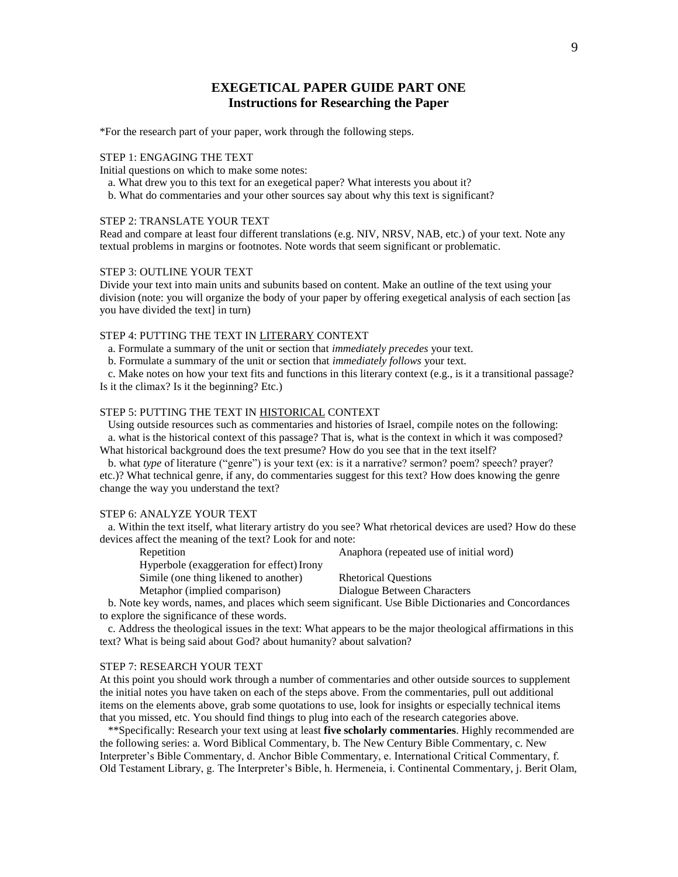## **EXEGETICAL PAPER GUIDE PART ONE Instructions for Researching the Paper**

\*For the research part of your paper, work through the following steps.

#### STEP 1: ENGAGING THE TEXT

Initial questions on which to make some notes:

- a. What drew you to this text for an exegetical paper? What interests you about it?
- b. What do commentaries and your other sources say about why this text is significant?

#### STEP 2: TRANSLATE YOUR TEXT

Read and compare at least four different translations (e.g. NIV, NRSV, NAB, etc.) of your text. Note any textual problems in margins or footnotes. Note words that seem significant or problematic.

#### STEP 3: OUTLINE YOUR TEXT

Divide your text into main units and subunits based on content. Make an outline of the text using your division (note: you will organize the body of your paper by offering exegetical analysis of each section [as you have divided the text] in turn)

#### STEP 4: PUTTING THE TEXT IN LITERARY CONTEXT

- a. Formulate a summary of the unit or section that *immediately precedes* your text.
- b. Formulate a summary of the unit or section that *immediately follows* your text.

 c. Make notes on how your text fits and functions in this literary context (e.g., is it a transitional passage? Is it the climax? Is it the beginning? Etc.)

#### STEP 5: PUTTING THE TEXT IN HISTORICAL CONTEXT

 Using outside resources such as commentaries and histories of Israel, compile notes on the following: a. what is the historical context of this passage? That is, what is the context in which it was composed?

What historical background does the text presume? How do you see that in the text itself?

 b. what *type* of literature ("genre") is your text (ex: is it a narrative? sermon? poem? speech? prayer? etc.)? What technical genre, if any, do commentaries suggest for this text? How does knowing the genre change the way you understand the text?

#### STEP 6: ANALYZE YOUR TEXT

 a. Within the text itself, what literary artistry do you see? What rhetorical devices are used? How do these devices affect the meaning of the text? Look for and note:

| Repetition                                | Anaphora (repeated use of initial word) |
|-------------------------------------------|-----------------------------------------|
| Hyperbole (exaggeration for effect) Irony |                                         |
| Simile (one thing likened to another)     | <b>Rhetorical Ouestions</b>             |
| Metaphor (implied comparison)             | Dialogue Between Characters             |

 b. Note key words, names, and places which seem significant. Use Bible Dictionaries and Concordances to explore the significance of these words.

 c. Address the theological issues in the text: What appears to be the major theological affirmations in this text? What is being said about God? about humanity? about salvation?

#### STEP 7: RESEARCH YOUR TEXT

At this point you should work through a number of commentaries and other outside sources to supplement the initial notes you have taken on each of the steps above. From the commentaries, pull out additional items on the elements above, grab some quotations to use, look for insights or especially technical items that you missed, etc. You should find things to plug into each of the research categories above.

 \*\*Specifically: Research your text using at least **five scholarly commentaries**. Highly recommended are the following series: a. Word Biblical Commentary, b. The New Century Bible Commentary, c. New Interpreter's Bible Commentary, d. Anchor Bible Commentary, e. International Critical Commentary, f. Old Testament Library, g. The Interpreter's Bible, h. Hermeneia, i. Continental Commentary, j. Berit Olam,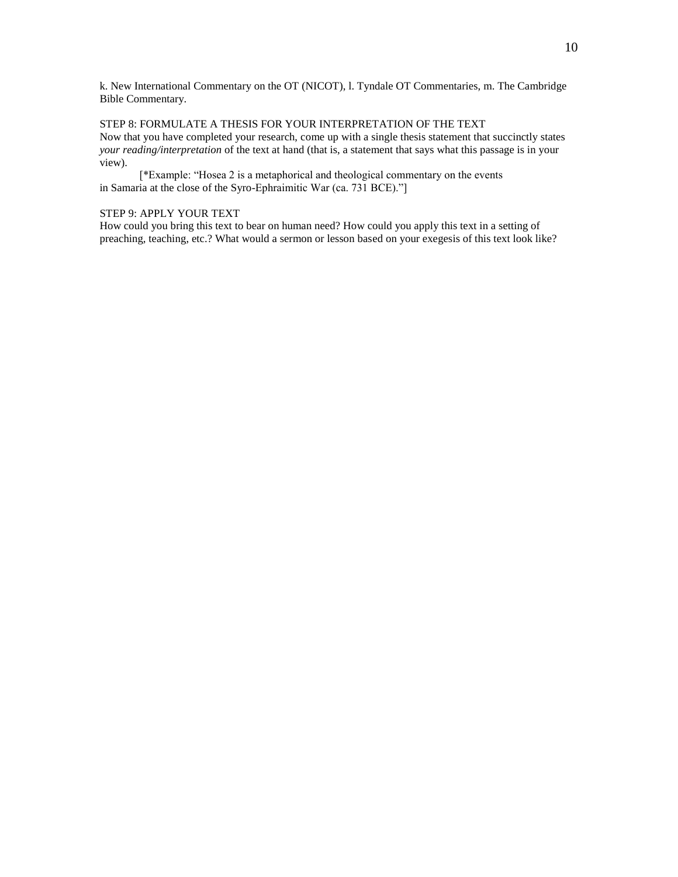k. New International Commentary on the OT (NICOT), l. Tyndale OT Commentaries, m. The Cambridge Bible Commentary.

STEP 8: FORMULATE A THESIS FOR YOUR INTERPRETATION OF THE TEXT Now that you have completed your research, come up with a single thesis statement that succinctly states *your reading/interpretation* of the text at hand (that is, a statement that says what this passage is in your view).

[\*Example: "Hosea 2 is a metaphorical and theological commentary on the events in Samaria at the close of the Syro-Ephraimitic War (ca. 731 BCE)."]

#### STEP 9: APPLY YOUR TEXT

How could you bring this text to bear on human need? How could you apply this text in a setting of preaching, teaching, etc.? What would a sermon or lesson based on your exegesis of this text look like?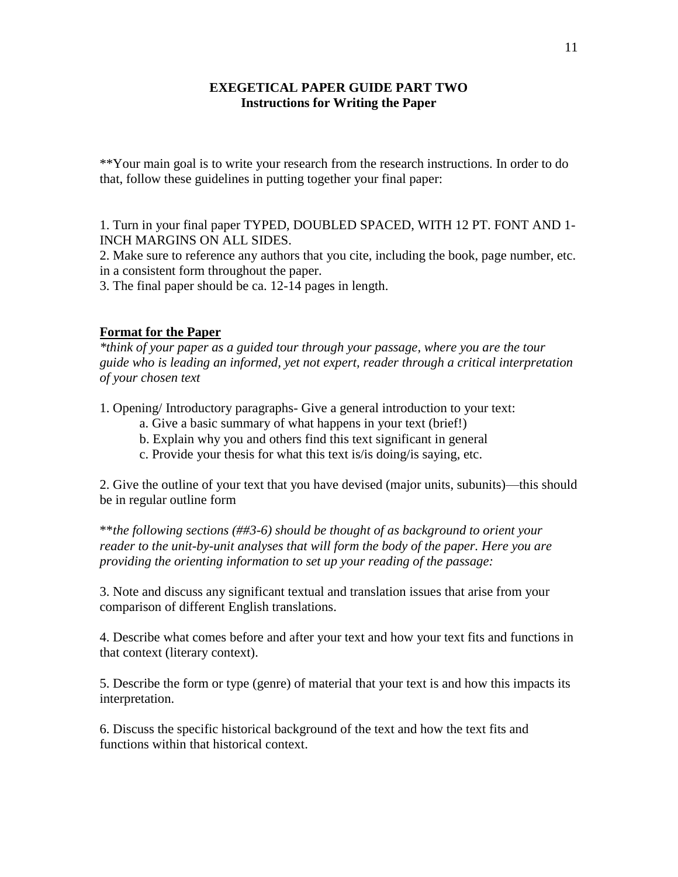# **EXEGETICAL PAPER GUIDE PART TWO Instructions for Writing the Paper**

\*\*Your main goal is to write your research from the research instructions. In order to do that, follow these guidelines in putting together your final paper:

1. Turn in your final paper TYPED, DOUBLED SPACED, WITH 12 PT. FONT AND 1- INCH MARGINS ON ALL SIDES.

2. Make sure to reference any authors that you cite, including the book, page number, etc. in a consistent form throughout the paper.

3. The final paper should be ca. 12-14 pages in length.

## **Format for the Paper**

*\*think of your paper as a guided tour through your passage, where you are the tour guide who is leading an informed, yet not expert, reader through a critical interpretation of your chosen text*

1. Opening/ Introductory paragraphs- Give a general introduction to your text:

- a. Give a basic summary of what happens in your text (brief!)
- b. Explain why you and others find this text significant in general
- c. Provide your thesis for what this text is/is doing/is saying, etc.

2. Give the outline of your text that you have devised (major units, subunits)—this should be in regular outline form

\*\**the following sections (##3-6) should be thought of as background to orient your reader to the unit-by-unit analyses that will form the body of the paper. Here you are providing the orienting information to set up your reading of the passage:*

3. Note and discuss any significant textual and translation issues that arise from your comparison of different English translations.

4. Describe what comes before and after your text and how your text fits and functions in that context (literary context).

5. Describe the form or type (genre) of material that your text is and how this impacts its interpretation.

6. Discuss the specific historical background of the text and how the text fits and functions within that historical context.